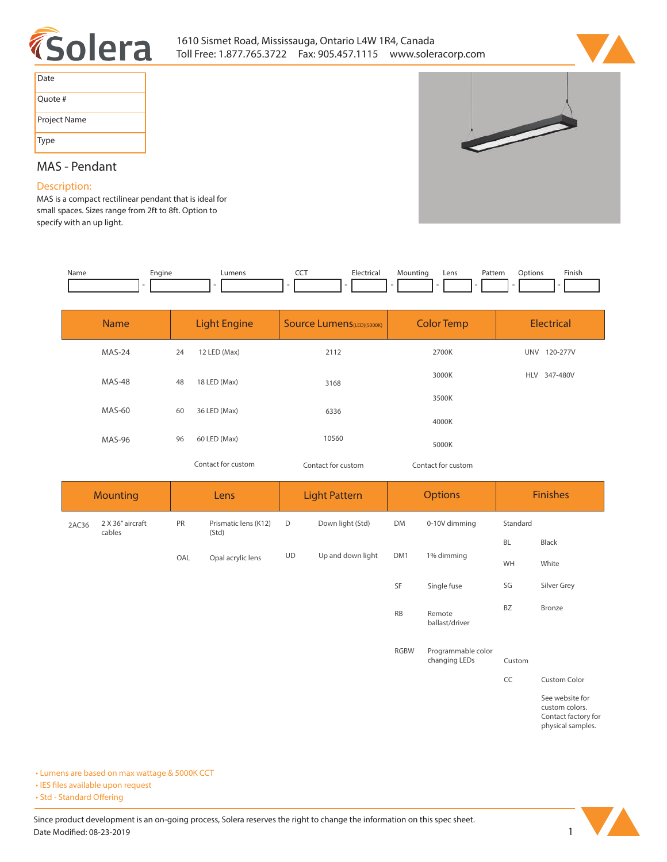



| Date         |
|--------------|
| Quote #      |
| Project Name |
| Type         |

# $\overline{\phantom{a}}$

# **MAS - Pendant**

# **Description:**

**MAS is a compact rectilinear pendant that is ideal for small spaces. Sizes range from 2ft to 8ft. Option to specify with an up light.** 

| Name | Enaine | IIMan( | ---<br>$ -$ | Elect.<br>. | Lens | Patterr<br>. | .<br>Options | Finisi.<br>the contract of the contract of the |
|------|--------|--------|-------------|-------------|------|--------------|--------------|------------------------------------------------|
|      |        |        |             |             |      |              |              |                                                |

| <b>Name</b>   | <b>Light Engine</b> |                    | <b>Source Lumens</b> (LED)(5000K) | <b>Color Temp</b>  | <b>Electrical</b>      |  |
|---------------|---------------------|--------------------|-----------------------------------|--------------------|------------------------|--|
| MAS-24        | 24                  | 12 LED (Max)       | 2112                              | 2700K              | 120-277V<br><b>UNV</b> |  |
| <b>MAS-48</b> | 48                  | 18 LED (Max)       | 3168                              | 3000K              | 347-480V<br><b>HLV</b> |  |
| <b>MAS-60</b> | 60                  | 36 LED (Max)       | 6336                              | 3500K              |                        |  |
|               |                     |                    |                                   | 4000K              |                        |  |
| <b>MAS-96</b> | 96                  | 60 LED (Max)       | 10560                             | 5000K              |                        |  |
|               |                     | Contact for custom | Contact for custom                | Contact for custom |                        |  |

| <b>Mounting</b> |                            | Lens |                               | <b>Light Pattern</b> |                   | <b>Options</b> |               | <b>Finishes</b> |              |
|-----------------|----------------------------|------|-------------------------------|----------------------|-------------------|----------------|---------------|-----------------|--------------|
| 2AC36           | 2 X 36" aircraft<br>cables | PR   | Prismatic lens (K12)<br>(Std) | D                    | Down light (Std)  | <b>DM</b>      | 0-10V dimming | Standard        |              |
|                 |                            |      |                               |                      |                   |                |               | BL              | <b>Black</b> |
|                 |                            | OAL  | Opal acrylic lens             | <b>UD</b>            | Up and down light | DM1            | 1% dimming    | <b>WH</b>       | White        |
|                 |                            |      |                               |                      |                   | SF             | Single fuse   | SG              | Silver Grey  |

**ballast/driver**

**RB Remote** 

**RGBW Programmable color changing LEDs Custom**

**CC Custom Color**

**BZ Bronze**

**See website for custom colors. Contact factory for physical samples.** 

**• Lumens are based on max wattage & 5000K CCT**

**• IES files available upon request** 

• Std - Standard Offering